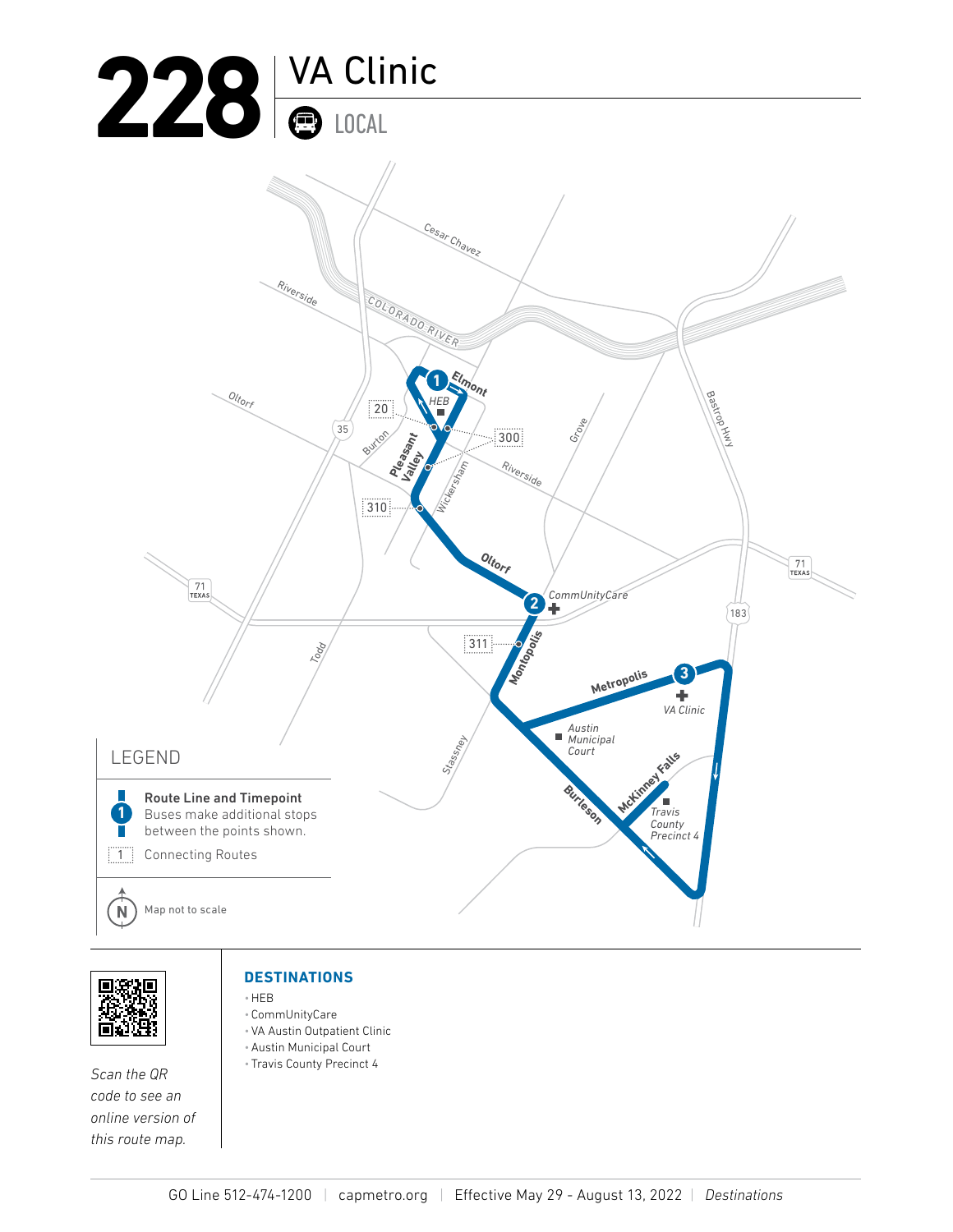





*Scan the QR code to see an online version of this route map.*

## **DESTINATIONS**

- •HEB
- CommUnityCare •VA Austin Outpatient Clinic
- •Austin Municipal Court
- Travis County Precinct 4
- GO Line 512-474-1200 *|* capmetro.org *|* Effective May 29 August 13, 2022 *| Destinations*